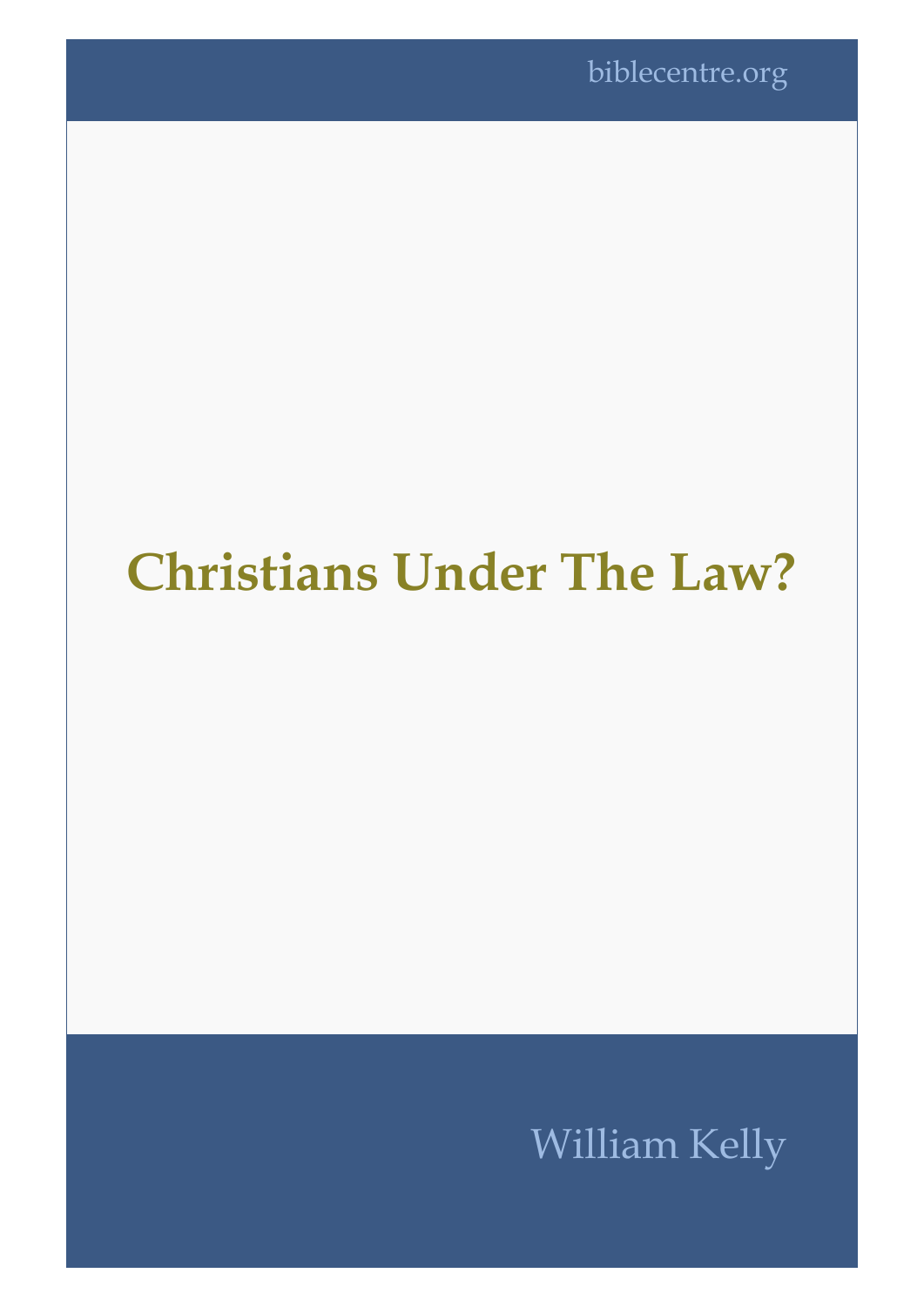## **Christians Under The Law?**

## William Kelly